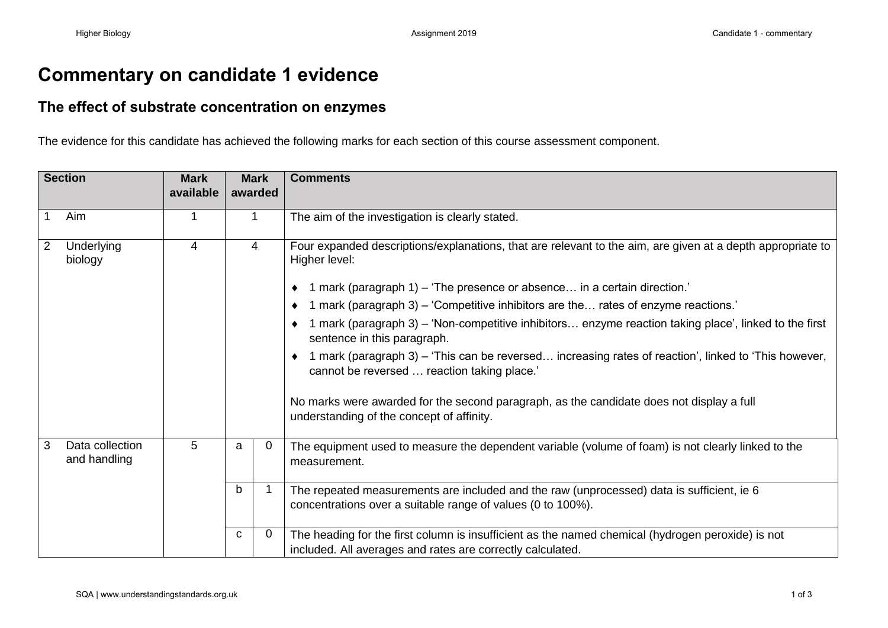## **Commentary on candidate 1 evidence**

## **The effect of substrate concentration on enzymes**

The evidence for this candidate has achieved the following marks for each section of this course assessment component.

| <b>Section</b> |                                 | <b>Mark</b><br>available | <b>Mark</b><br>awarded |   | <b>Comments</b>                                                                                                                                                 |
|----------------|---------------------------------|--------------------------|------------------------|---|-----------------------------------------------------------------------------------------------------------------------------------------------------------------|
|                |                                 |                          |                        |   |                                                                                                                                                                 |
| 1              | Aim                             | 1                        | $\mathbf{1}$           |   | The aim of the investigation is clearly stated.                                                                                                                 |
| $\overline{2}$ | Underlying<br>biology           | 4                        | 4                      |   | Four expanded descriptions/explanations, that are relevant to the aim, are given at a depth appropriate to<br>Higher level:                                     |
|                |                                 |                          |                        |   | 1 mark (paragraph 1) – 'The presence or absence in a certain direction.'                                                                                        |
|                |                                 |                          |                        |   | 1 mark (paragraph 3) – 'Competitive inhibitors are the rates of enzyme reactions.'                                                                              |
|                |                                 |                          |                        |   | 1 mark (paragraph 3) – 'Non-competitive inhibitors enzyme reaction taking place', linked to the first<br>sentence in this paragraph.                            |
|                |                                 |                          |                        |   | $\bullet$ 1 mark (paragraph 3) – 'This can be reversed increasing rates of reaction', linked to 'This however,<br>cannot be reversed  reaction taking place.'   |
|                |                                 |                          |                        |   | No marks were awarded for the second paragraph, as the candidate does not display a full<br>understanding of the concept of affinity.                           |
| $\mathbf{3}$   | Data collection<br>and handling | 5                        | a                      | 0 | The equipment used to measure the dependent variable (volume of foam) is not clearly linked to the<br>measurement.                                              |
|                |                                 |                          | b                      |   | The repeated measurements are included and the raw (unprocessed) data is sufficient, ie 6<br>concentrations over a suitable range of values (0 to 100%).        |
|                |                                 |                          | C                      | 0 | The heading for the first column is insufficient as the named chemical (hydrogen peroxide) is not<br>included. All averages and rates are correctly calculated. |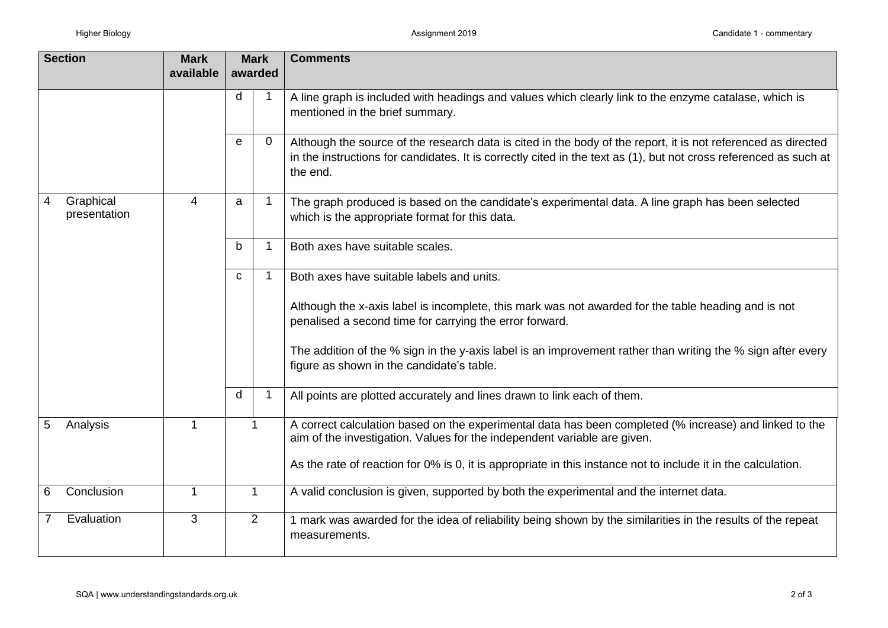| <b>Section</b>                 | <b>Mark</b> | <b>Mark</b><br>awarded |          | <b>Comments</b>                                                                                                                                                                                                                                |
|--------------------------------|-------------|------------------------|----------|------------------------------------------------------------------------------------------------------------------------------------------------------------------------------------------------------------------------------------------------|
|                                | available   |                        |          |                                                                                                                                                                                                                                                |
|                                |             | d                      |          | A line graph is included with headings and values which clearly link to the enzyme catalase, which is<br>mentioned in the brief summary.                                                                                                       |
|                                |             | e                      | $\Omega$ | Although the source of the research data is cited in the body of the report, it is not referenced as directed<br>in the instructions for candidates. It is correctly cited in the text as (1), but not cross referenced as such at<br>the end. |
| Graphical<br>4<br>presentation | 4           | a                      | 1        | The graph produced is based on the candidate's experimental data. A line graph has been selected<br>which is the appropriate format for this data.                                                                                             |
|                                |             | b                      |          | Both axes have suitable scales.                                                                                                                                                                                                                |
|                                |             | C                      |          | Both axes have suitable labels and units.                                                                                                                                                                                                      |
|                                |             |                        |          | Although the x-axis label is incomplete, this mark was not awarded for the table heading and is not<br>penalised a second time for carrying the error forward.                                                                                 |
|                                |             |                        |          | The addition of the % sign in the y-axis label is an improvement rather than writing the % sign after every<br>figure as shown in the candidate's table.                                                                                       |
|                                |             | d                      |          | All points are plotted accurately and lines drawn to link each of them.                                                                                                                                                                        |
| 5<br>Analysis                  | 1           | $\mathbf{1}$           |          | A correct calculation based on the experimental data has been completed (% increase) and linked to the<br>aim of the investigation. Values for the independent variable are given.                                                             |
|                                |             |                        |          | As the rate of reaction for 0% is 0, it is appropriate in this instance not to include it in the calculation.                                                                                                                                  |
| Conclusion<br>6                | 1           | 1                      |          | A valid conclusion is given, supported by both the experimental and the internet data.                                                                                                                                                         |
| Evaluation                     | 3           | $\overline{2}$         |          | 1 mark was awarded for the idea of reliability being shown by the similarities in the results of the repeat<br>measurements.                                                                                                                   |